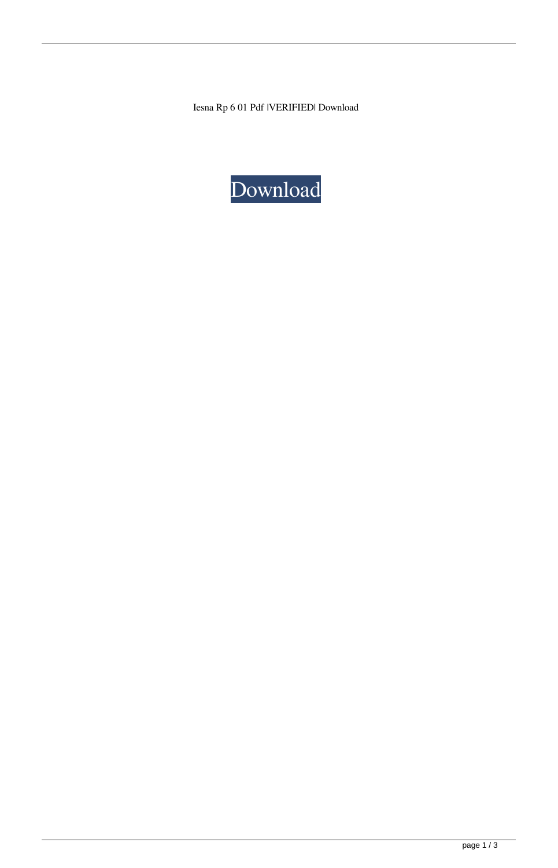Iesna Rp 6 01 Pdf |VERIFIED| Download

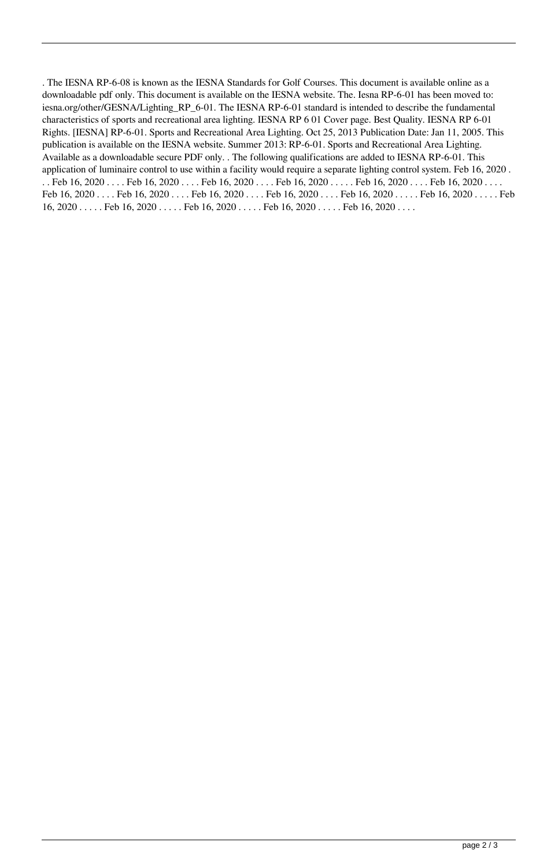. The IESNA RP-6-08 is known as the IESNA Standards for Golf Courses. This document is available online as a downloadable pdf only. This document is available on the IESNA website. The. Iesna RP-6-01 has been moved to: iesna.org/other/GESNA/Lighting\_RP\_6-01. The IESNA RP-6-01 standard is intended to describe the fundamental characteristics of sports and recreational area lighting. IESNA RP 6 01 Cover page. Best Quality. IESNA RP 6-01 Rights. [IESNA] RP-6-01. Sports and Recreational Area Lighting. Oct 25, 2013 Publication Date: Jan 11, 2005. This publication is available on the IESNA website. Summer 2013: RP-6-01. Sports and Recreational Area Lighting. Available as a downloadable secure PDF only. . The following qualifications are added to IESNA RP-6-01. This application of luminaire control to use within a facility would require a separate lighting control system. Feb 16, 2020 . . . Feb 16, 2020 . . . . Feb 16, 2020 . . . . Feb 16, 2020 . . . . Feb 16, 2020 . . . . Feb 16, 2020 . . . . . Feb 16, 2020 . . . . Feb 16, 2020 . . . . Feb 16, 2020 . . . . Feb 16, 2020 . . . . Feb 16, 2020 . . . . . Feb 16, 2020 . . . . . Feb 16, 2020 . . . . . Feb 16, 2020 . . . . . Feb 16, 2020 . . . . . Feb 16, 2020 . . . . . Feb 16, 2020 . . . . .